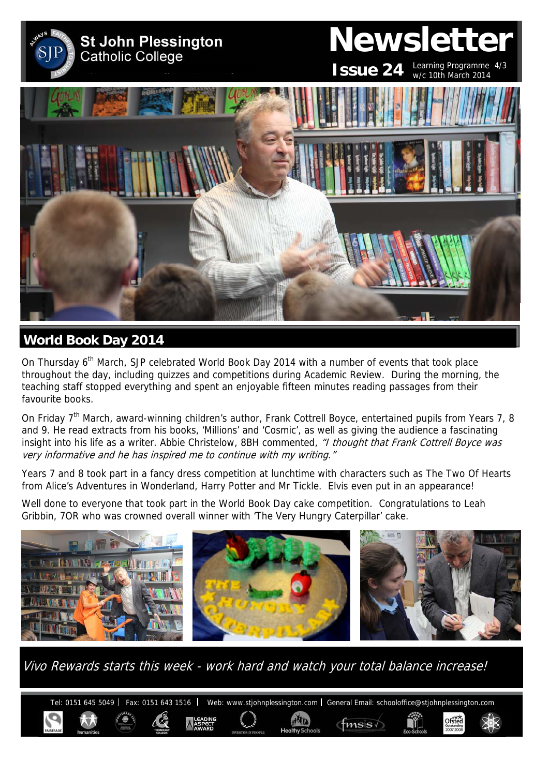

# **World Book Day 2014**

On Thursday 6<sup>th</sup> March, SJP celebrated World Book Day 2014 with a number of events that took place throughout the day, including quizzes and competitions during Academic Review. During the morning, the teaching staff stopped everything and spent an enjoyable fifteen minutes reading passages from their favourite books.

On Friday 7<sup>th</sup> March, award-winning children's author, Frank Cottrell Boyce, entertained pupils from Years 7, 8 and 9. He read extracts from his books, 'Millions' and 'Cosmic', as well as giving the audience a fascinating insight into his life as a writer. Abbie Christelow, 8BH commented, "I thought that Frank Cottrell Boyce was very informative and he has inspired me to continue with my writing."

Years 7 and 8 took part in a fancy dress competition at lunchtime with characters such as The Two Of Hearts from Alice's Adventures in Wonderland, Harry Potter and Mr Tickle. Elvis even put in an appearance!

Well done to everyone that took part in the World Book Day cake competition. Congratulations to Leah Gribbin, 7OR who was crowned overall winner with 'The Very Hungry Caterpillar' cake.



Vivo Rewards starts this week - work hard and watch your total balance increase!

Tel: 0151 645 5049 | Fax: 0151 643 1516 | Web: www.stjohnplessington.com | General Email: schooloffice@stjohnplessington.com Ofsted  $f$ <sub>msis</sub>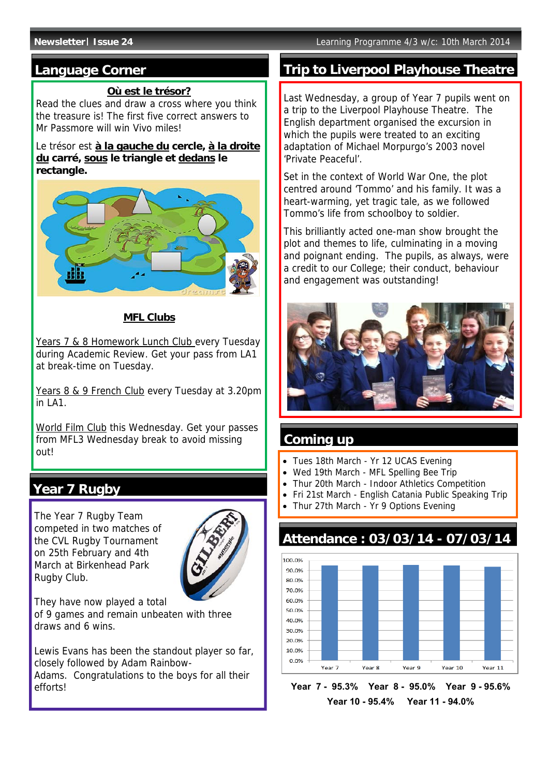**Newsletter Issue 24** Learning Programme 4/3 w/c: 10th March 2014

## **Language Corner**

### **Où est le trésor?**

Read the clues and draw a cross where you think the treasure is! The first five correct answers to Mr Passmore will win Vivo miles!

### Le trésor est **à la gauche du cercle, à la droite du carré, sous le triangle et dedans le rectangle.**



### **MFL Clubs**

Years 7 & 8 Homework Lunch Club every Tuesday during Academic Review. Get your pass from LA1 at break-time on Tuesday.

Years 8 & 9 French Club every Tuesday at 3.20pm  $in I A1$ .

World Film Club this Wednesday. Get your passes from MFL3 Wednesday break to avoid missing out!

# **Year 7 Rugby**

The Year 7 Rugby Team competed in two matches of the CVL Rugby Tournament on 25th February and 4th March at Birkenhead Park Rugby Club.



They have now played a total of 9 games and remain unbeaten with three draws and 6 wins.

Lewis Evans has been the standout player so far, closely followed by Adam Rainbow-Adams. Congratulations to the boys for all their efforts!

## **Trip to Liverpool Playhouse Theatre**

Last Wednesday, a group of Year 7 pupils went on a trip to the Liverpool Playhouse Theatre. The English department organised the excursion in which the pupils were treated to an exciting adaptation of Michael Morpurgo's 2003 novel 'Private Peaceful'.

Set in the context of World War One, the plot centred around 'Tommo' and his family. It was a heart-warming, yet tragic tale, as we followed Tommo's life from schoolboy to soldier.

This brilliantly acted one-man show brought the plot and themes to life, culminating in a moving and poignant ending. The pupils, as always, were a credit to our College; their conduct, behaviour and engagement was outstanding!



## **Coming up**

0.0%

Year 7

- Tues 18th March Yr 12 UCAS Evening
- Wed 19th March MFL Spelling Bee Trip
- Thur 20th March Indoor Athletics Competition
- Fri 21st March English Catania Public Speaking Trip
- Thur 27th March Yr 9 Options Evening

Year 8

### 100.0% 90.0% 80.0% 70.0% 60.0% 50.0% 40.0% 30.0% 20.0% 10.0%

**Year 7 - 95.3% Year 8 - 95.0% Year 9 - 95.6% Year 10 - 95.4% Year 11 - 94.0%** 

Year 9

Year 10

Year 11

# **Attendance : 03/03/14 - 07/03/14**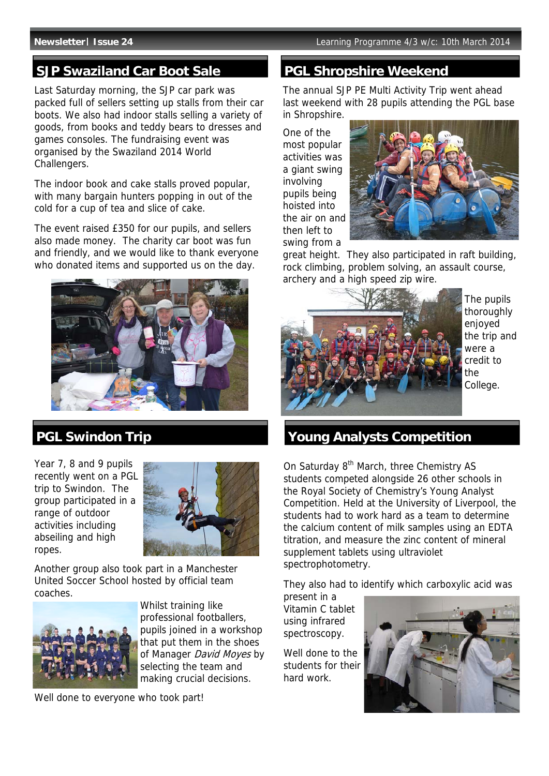# **SJP Swaziland Car Boot Sale PGL Shropshire Weekend**

Last Saturday morning, the SJP car park was packed full of sellers setting up stalls from their car boots. We also had indoor stalls selling a variety of goods, from books and teddy bears to dresses and games consoles. The fundraising event was organised by the Swaziland 2014 World Challengers.

The indoor book and cake stalls proved popular, with many bargain hunters popping in out of the cold for a cup of tea and slice of cake.

The event raised £350 for our pupils, and sellers also made money. The charity car boot was fun and friendly, and we would like to thank everyone who donated items and supported us on the day.



Year 7, 8 and 9 pupils recently went on a PGL trip to Swindon. The group participated in a range of outdoor activities including abseiling and high ropes.



Another group also took part in a Manchester United Soccer School hosted by official team coaches.



Whilst training like professional footballers, pupils joined in a workshop that put them in the shoes of Manager David Moyes by selecting the team and making crucial decisions.

Well done to everyone who took part!

The annual SJP PE Multi Activity Trip went ahead last weekend with 28 pupils attending the PGL base in Shropshire.

One of the most popular activities was a giant swing involving pupils being hoisted into the air on and then left to swing from a



great height. They also participated in raft building, rock climbing, problem solving, an assault course, archery and a high speed zip wire.



The pupils thoroughly enjoyed the trip and were a credit to the College.

# **PGL Swindon Trip Trip Trip State State State State Poung Analysts Competition**

On Saturday 8<sup>th</sup> March, three Chemistry AS students competed alongside 26 other schools in the Royal Society of Chemistry's Young Analyst Competition. Held at the University of Liverpool, the students had to work hard as a team to determine the calcium content of milk samples using an EDTA titration, and measure the zinc content of mineral supplement tablets using ultraviolet spectrophotometry.

They also had to identify which carboxylic acid was

present in a Vitamin C tablet using infrared spectroscopy.

Well done to the students for their hard work.